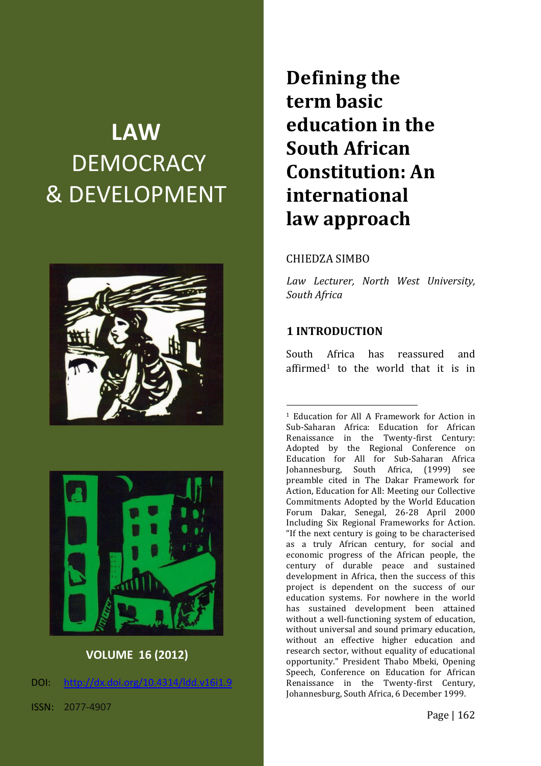# **LAW DEMOCRACY** & DEVELOPMENT





# **VOLUME 16 (2012)**

DOI: [http://dx.doi.org/10.4314/ldd.v16i1.9](http://dx.doi.org/10.4314/ldd.v16i1.2)

ISSN: 2077-4907

**Defining the term basic education in the South African Constitution: An international law approach**

#### CHIEDZA SIMBO

*Law Lecturer, North West University, South Africa*

#### **1 INTRODUCTION**

1

South Africa has reassured and affirmed<sup>1</sup> to the world that it is in

<sup>1</sup> Education for All A Framework for Action in Sub-Saharan Africa: Education for African Renaissance in the Twenty-first Century: Adopted by the Regional Conference on Education for All for Sub-Saharan Africa Johannesburg, South Africa, (1999) see preamble cited in The Dakar Framework for Action, Education for All: Meeting our Collective Commitments Adopted by the World Education Forum Dakar, Senegal, 26-28 April 2000 Including Six Regional Frameworks for Action. "If the next century is going to be characterised as a truly African century, for social and economic progress of the African people, the century of durable peace and sustained development in Africa, then the success of this project is dependent on the success of our education systems. For nowhere in the world has sustained development been attained without a well-functioning system of education, without universal and sound primary education, without an effective higher education and research sector, without equality of educational opportunity." President Thabo Mbeki, Opening Speech, Conference on Education for African Renaissance in the Twenty-first Century, Johannesburg, South Africa, 6 December 1999.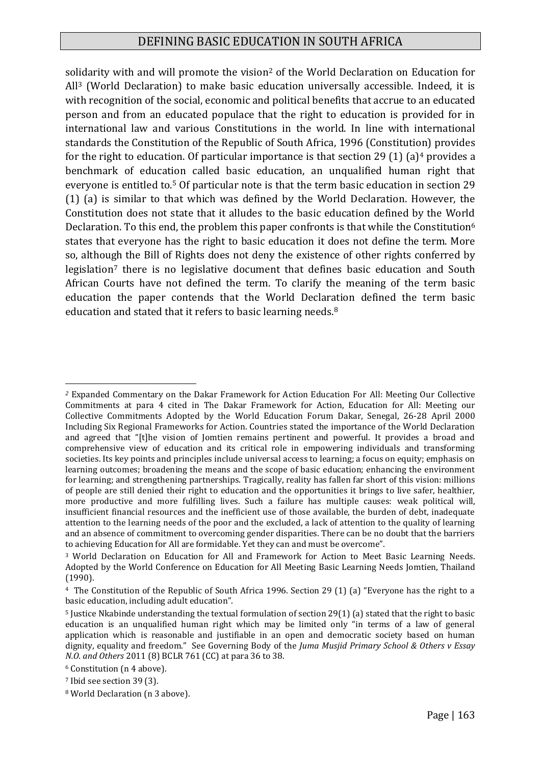## DEFINING BASIC EDUCATION IN SOUTH AFRICA

solidarity with and will promote the vision<sup>2</sup> of the World Declaration on Education for All<sup>3</sup> (World Declaration) to make basic education universally accessible. Indeed, it is with recognition of the social, economic and political benefits that accrue to an educated person and from an educated populace that the right to education is provided for in international law and various Constitutions in the world. In line with international standards the Constitution of the Republic of South Africa, 1996 (Constitution) provides for the right to education. Of particular importance is that section 29 (1) (a)<sup>4</sup> provides a benchmark of education called basic education, an unqualified human right that everyone is entitled to.<sup>5</sup> Of particular note is that the term basic education in section 29 (1) (a) is similar to that which was defined by the World Declaration. However, the Constitution does not state that it alludes to the basic education defined by the World Declaration. To this end, the problem this paper confronts is that while the Constitution<sup>6</sup> states that everyone has the right to basic education it does not define the term. More so, although the Bill of Rights does not deny the existence of other rights conferred by legislation<sup>7</sup> there is no legislative document that defines basic education and South African Courts have not defined the term. To clarify the meaning of the term basic education the paper contends that the World Declaration defined the term basic education and stated that it refers to basic learning needs.<sup>8</sup>

*<sup>2</sup>* Expanded Commentary on the Dakar Framework for Action Education For All: Meeting Our Collective Commitments at para 4 cited in The Dakar Framework for Action, Education for All: Meeting our Collective Commitments Adopted by the World Education Forum Dakar, Senegal, 26-28 April 2000 Including Six Regional Frameworks for Action. Countries stated the importance of the World Declaration and agreed that "[t]he vision of Jomtien remains pertinent and powerful. It provides a broad and comprehensive view of education and its critical role in empowering individuals and transforming societies. Its key points and principles include universal access to learning; a focus on equity; emphasis on learning outcomes; broadening the means and the scope of basic education; enhancing the environment for learning; and strengthening partnerships. Tragically, reality has fallen far short of this vision: millions of people are still denied their right to education and the opportunities it brings to live safer, healthier, more productive and more fulfilling lives. Such a failure has multiple causes: weak political will, insufficient financial resources and the inefficient use of those available, the burden of debt, inadequate attention to the learning needs of the poor and the excluded, a lack of attention to the quality of learning and an absence of commitment to overcoming gender disparities. There can be no doubt that the barriers to achieving Education for All are formidable. Yet they can and must be overcome".

<sup>3</sup> World Declaration on Education for All and Framework for Action to Meet Basic Learning Needs. Adopted by the World Conference on Education for All Meeting Basic Learning Needs Jomtien, Thailand (1990).

<sup>4</sup> The Constitution of the Republic of South Africa 1996. Section 29 (1) (a) "Everyone has the right to a basic education, including adult education".

<sup>5</sup> Justice Nkabinde understanding the textual formulation of section 29(1) (a) stated that the right to basic education is an unqualified human right which may be limited only "in terms of a law of general application which is reasonable and justifiable in an open and democratic society based on human dignity, equality and freedom." See Governing Body of the *Juma Musjid Primary School & Others v Essay N.O. and Others* 2011 (8) BCLR 761 (CC) at para 36 to 38.

<sup>6</sup> Constitution (n 4 above).

<sup>7</sup> Ibid see section 39 (3).

<sup>8</sup> World Declaration (n 3 above).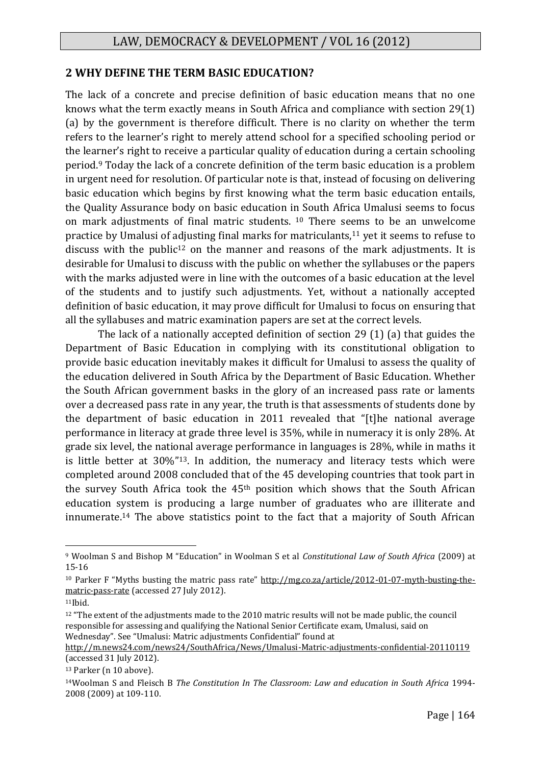#### **2 WHY DEFINE THE TERM BASIC EDUCATION?**

The lack of a concrete and precise definition of basic education means that no one knows what the term exactly means in South Africa and compliance with section 29(1) (a) by the government is therefore difficult. There is no clarity on whether the term refers to the learner's right to merely attend school for a specified schooling period or the learner's right to receive a particular quality of education during a certain schooling period.<sup>9</sup> Today the lack of a concrete definition of the term basic education is a problem in urgent need for resolution. Of particular note is that, instead of focusing on delivering basic education which begins by first knowing what the term basic education entails, the Quality Assurance body on basic education in South Africa Umalusi seems to focus on mark adjustments of final matric students. <sup>10</sup> There seems to be an unwelcome practice by Umalusi of adjusting final marks for matriculants,<sup>11</sup> yet it seems to refuse to discuss with the public<sup>12</sup> on the manner and reasons of the mark adjustments. It is desirable for Umalusi to discuss with the public on whether the syllabuses or the papers with the marks adjusted were in line with the outcomes of a basic education at the level of the students and to justify such adjustments. Yet, without a nationally accepted definition of basic education, it may prove difficult for Umalusi to focus on ensuring that all the syllabuses and matric examination papers are set at the correct levels.

The lack of a nationally accepted definition of section 29 (1) (a) that guides the Department of Basic Education in complying with its constitutional obligation to provide basic education inevitably makes it difficult for Umalusi to assess the quality of the education delivered in South Africa by the Department of Basic Education. Whether the South African government basks in the glory of an increased pass rate or laments over a decreased pass rate in any year, the truth is that assessments of students done by the department of basic education in 2011 revealed that "[t]he national average performance in literacy at grade three level is 35%, while in numeracy it is only 28%. At grade six level, the national average performance in languages is 28%, while in maths it is little better at 30%"13. In addition, the numeracy and literacy tests which were completed around 2008 concluded that of the 45 developing countries that took part in the survey South Africa took the 45th position which shows that the South African education system is producing a large number of graduates who are illiterate and innumerate.<sup>14</sup> The above statistics point to the fact that a majority of South African

<sup>9</sup> Woolman S and Bishop M "Education" in Woolman S et al *Constitutional Law of South Africa* (2009) at 15-16

<sup>10</sup> Parker F "Myths busting the matric pass rate" [http://mg.co.za/article/2012-01-07-myth-busting-the](http://mg.co.za/article/2012-01-07-myth-busting-the-matric-pass-rate)[matric-pass-rate](http://mg.co.za/article/2012-01-07-myth-busting-the-matric-pass-rate) (accessed 27 July 2012).

 $11$ Ibid.

<sup>&</sup>lt;sup>12</sup> "The extent of the adjustments made to the 2010 matric results will not be made public, the council responsible for assessing and qualifying the National Senior Certificate exam, Umalusi, said on Wednesday". See "Umalusi: Matric adjustments Confidential" found at

<http://m.news24.com/news24/SouthAfrica/News/Umalusi-Matric-adjustments-confidential-20110119> (accessed 31 July 2012).

<sup>13</sup> Parker (n 10 above).

<sup>14</sup>Woolman S and Fleisch B *The Constitution In The Classroom: Law and education in South Africa* 1994- 2008 (2009) at 109-110.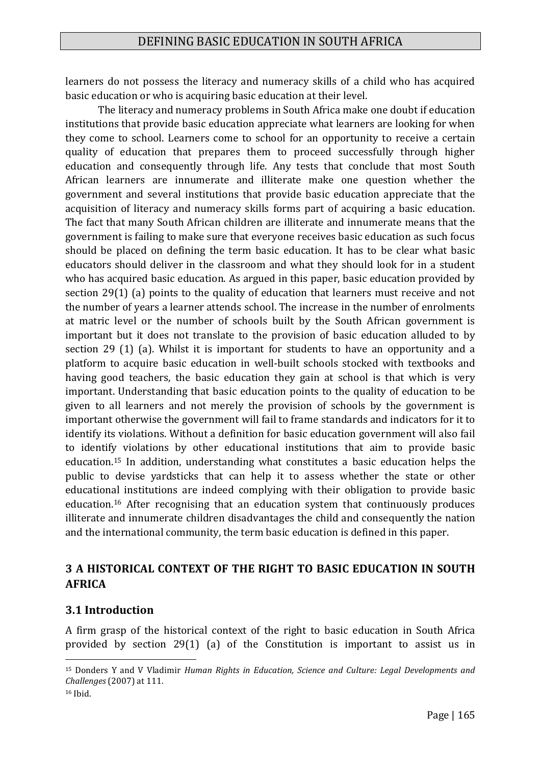learners do not possess the literacy and numeracy skills of a child who has acquired basic education or who is acquiring basic education at their level.

The literacy and numeracy problems in South Africa make one doubt if education institutions that provide basic education appreciate what learners are looking for when they come to school. Learners come to school for an opportunity to receive a certain quality of education that prepares them to proceed successfully through higher education and consequently through life. Any tests that conclude that most South African learners are innumerate and illiterate make one question whether the government and several institutions that provide basic education appreciate that the acquisition of literacy and numeracy skills forms part of acquiring a basic education. The fact that many South African children are illiterate and innumerate means that the government is failing to make sure that everyone receives basic education as such focus should be placed on defining the term basic education. It has to be clear what basic educators should deliver in the classroom and what they should look for in a student who has acquired basic education. As argued in this paper, basic education provided by section 29(1) (a) points to the quality of education that learners must receive and not the number of years a learner attends school. The increase in the number of enrolments at matric level or the number of schools built by the South African government is important but it does not translate to the provision of basic education alluded to by section 29 (1) (a). Whilst it is important for students to have an opportunity and a platform to acquire basic education in well-built schools stocked with textbooks and having good teachers, the basic education they gain at school is that which is very important. Understanding that basic education points to the quality of education to be given to all learners and not merely the provision of schools by the government is important otherwise the government will fail to frame standards and indicators for it to identify its violations. Without a definition for basic education government will also fail to identify violations by other educational institutions that aim to provide basic education.<sup>15</sup> In addition, understanding what constitutes a basic education helps the public to devise yardsticks that can help it to assess whether the state or other educational institutions are indeed complying with their obligation to provide basic education.<sup>16</sup> After recognising that an education system that continuously produces illiterate and innumerate children disadvantages the child and consequently the nation and the international community, the term basic education is defined in this paper.

# **3 A HISTORICAL CONTEXT OF THE RIGHT TO BASIC EDUCATION IN SOUTH AFRICA**

## **3.1 Introduction**

1

A firm grasp of the historical context of the right to basic education in South Africa provided by section 29(1) (a) of the Constitution is important to assist us in

<sup>15</sup> Donders Y and V Vladimir *Human Rights in Education, Science and Culture: Legal Developments and Challenges* (2007) at 111. <sup>16</sup> Ibid.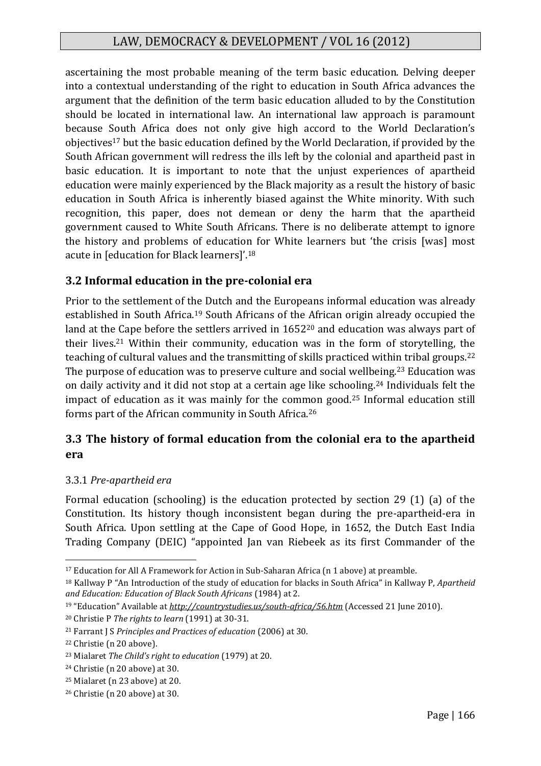ascertaining the most probable meaning of the term basic education. Delving deeper into a contextual understanding of the right to education in South Africa advances the argument that the definition of the term basic education alluded to by the Constitution should be located in international law. An international law approach is paramount because South Africa does not only give high accord to the World Declaration's objectives<sup>17</sup> but the basic education defined by the World Declaration, if provided by the South African government will redress the ills left by the colonial and apartheid past in basic education. It is important to note that the unjust experiences of apartheid education were mainly experienced by the Black majority as a result the history of basic education in South Africa is inherently biased against the White minority. With such recognition, this paper, does not demean or deny the harm that the apartheid government caused to White South Africans. There is no deliberate attempt to ignore the history and problems of education for White learners but 'the crisis [was] most acute in [education for Black learners]'.<sup>18</sup>

#### **3.2 Informal education in the pre-colonial era**

Prior to the settlement of the Dutch and the Europeans informal education was already established in South Africa.<sup>19</sup> South Africans of the African origin already occupied the land at the Cape before the settlers arrived in 1652<sup>20</sup> and education was always part of their lives.<sup>21</sup> Within their community, education was in the form of storytelling, the teaching of cultural values and the transmitting of skills practiced within tribal groups.<sup>22</sup> The purpose of education was to preserve culture and social wellbeing.<sup>23</sup> Education was on daily activity and it did not stop at a certain age like schooling.<sup>24</sup> Individuals felt the impact of education as it was mainly for the common good.<sup>25</sup> Informal education still forms part of the African community in South Africa.<sup>26</sup>

## **3.3 The history of formal education from the colonial era to the apartheid era**

#### 3.3.1 *Pre-apartheid era*

Formal education (schooling) is the education protected by section 29 (1) (a) of the Constitution. Its history though inconsistent began during the pre-apartheid-era in South Africa. Upon settling at the Cape of Good Hope, in 1652, the Dutch East India Trading Company (DEIC) "appointed Jan van Riebeek as its first Commander of the

<sup>&</sup>lt;sup>17</sup> Education for All A Framework for Action in Sub-Saharan Africa (n 1 above) at preamble.

<sup>18</sup> Kallway P "An Introduction of the study of education for blacks in South Africa" in Kallway P, *Apartheid and Education: Education of Black South Africans* (1984) at 2.

<sup>19</sup> "Education" Available at *<http://countrystudies.us/south-africa/56.htm>* (Accessed 21 June 2010).

<sup>20</sup> Christie P *The rights to learn* (1991) at 30-31.

<sup>21</sup> Farrant J S *Principles and Practices of education* (2006) at 30.

<sup>22</sup> Christie (n 20 above).

<sup>23</sup> Mialaret *The Child's right to education* (1979) at 20.

<sup>24</sup> Christie (n 20 above) at 30.

<sup>25</sup> Mialaret (n 23 above) at 20.

<sup>26</sup> Christie (n 20 above) at 30.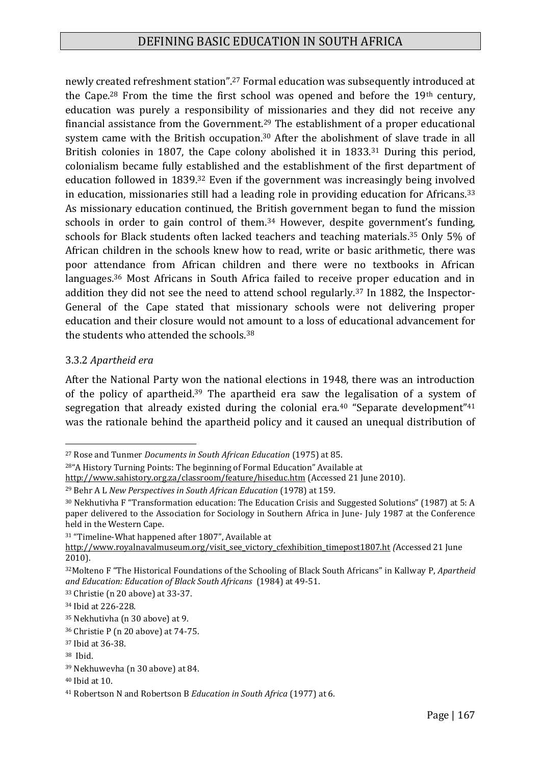newly created refreshment station".<sup>27</sup> Formal education was subsequently introduced at the Cape.<sup>28</sup> From the time the first school was opened and before the 19th century, education was purely a responsibility of missionaries and they did not receive any financial assistance from the Government.<sup>29</sup> The establishment of a proper educational system came with the British occupation.<sup>30</sup> After the abolishment of slave trade in all British colonies in 1807, the Cape colony abolished it in 1833.<sup>31</sup> During this period, colonialism became fully established and the establishment of the first department of education followed in 1839.<sup>32</sup> Even if the government was increasingly being involved in education, missionaries still had a leading role in providing education for Africans.<sup>33</sup> As missionary education continued, the British government began to fund the mission schools in order to gain control of them.<sup>34</sup> However, despite government's funding, schools for Black students often lacked teachers and teaching materials.<sup>35</sup> Only 5% of African children in the schools knew how to read, write or basic arithmetic, there was poor attendance from African children and there were no textbooks in African languages.<sup>36</sup> Most Africans in South Africa failed to receive proper education and in addition they did not see the need to attend school regularly.<sup>37</sup> In 1882, the Inspector-General of the Cape stated that missionary schools were not delivering proper education and their closure would not amount to a loss of educational advancement for the students who attended the schools.<sup>38</sup>

#### 3.3.2 *Apartheid era*

After the National Party won the national elections in 1948, there was an introduction of the policy of apartheid.<sup>39</sup> The apartheid era saw the legalisation of a system of segregation that already existed during the colonial era.<sup>40</sup> "Separate development"<sup>41</sup> was the rationale behind the apartheid policy and it caused an unequal distribution of

<sup>1</sup> <sup>27</sup> Rose and Tunmer *Documents in South African Education* (1975) at 85.

<sup>28</sup>"A History Turning Points: The beginning of Formal Education" Available at

<http://www.sahistory.org.za/classroom/feature/hiseduc.htm> (Accessed 21 June 2010).

<sup>29</sup> Behr A L *New Perspectives in South African Education* (1978) at 159.

<sup>30</sup> Nekhutivha F "Transformation education: The Education Crisis and Suggested Solutions" (1987) at 5: A paper delivered to the Association for Sociology in Southern Africa in June- July 1987 at the Conference held in the Western Cape.

<sup>31</sup> "Timeline-What happened after 1807", Available at

[http://www.royalnavalmuseum.org/visit\\_see\\_victory\\_cfexhibition\\_timepost1807.ht](http://www.royalnavalmuseum.org/visit_see_victory_cfexhibition_timepost1807.ht) *(*Accessed 21 June 2010).

<sup>32</sup>Molteno F "The Historical Foundations of the Schooling of Black South Africans" in Kallway P, *Apartheid and Education: Education of Black South Africans* (1984) at 49-51.

<sup>33</sup> Christie (n 20 above) at 33-37.

<sup>34</sup> Ibid at 226-228.

<sup>35</sup> Nekhutivha (n 30 above) at 9.

<sup>36</sup> Christie P (n 20 above) at 74-75.

<sup>37</sup> Ibid at 36-38.

<sup>38</sup> Ibid.

<sup>39</sup> Nekhuwevha (n 30 above) at 84.

<sup>40</sup> Ibid at 10.

<sup>41</sup> Robertson N and Robertson B *Education in South Africa* (1977) at 6.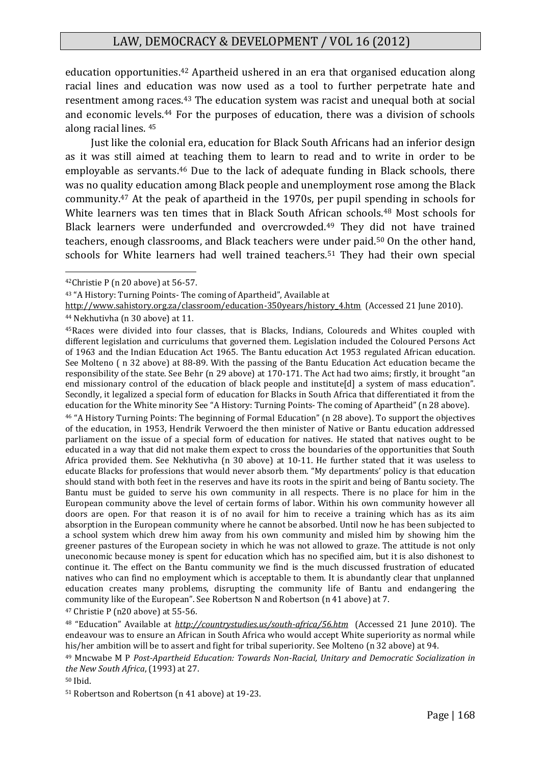education opportunities.<sup>42</sup> Apartheid ushered in an era that organised education along racial lines and education was now used as a tool to further perpetrate hate and resentment among races.<sup>43</sup> The education system was racist and unequal both at social and economic levels.<sup>44</sup> For the purposes of education, there was a division of schools along racial lines. <sup>45</sup>

Just like the colonial era, education for Black South Africans had an inferior design as it was still aimed at teaching them to learn to read and to write in order to be employable as servants.<sup>46</sup> Due to the lack of adequate funding in Black schools, there was no quality education among Black people and unemployment rose among the Black community.<sup>47</sup> At the peak of apartheid in the 1970s, per pupil spending in schools for White learners was ten times that in Black South African schools.<sup>48</sup> Most schools for Black learners were underfunded and overcrowded.<sup>49</sup> They did not have trained teachers, enough classrooms, and Black teachers were under paid.<sup>50</sup> On the other hand, schools for White learners had well trained teachers.<sup>51</sup> They had their own special

1

<sup>46</sup> "A History Turning Points: The beginning of Formal Education" (n 28 above). To support the objectives of the education, in 1953, Hendrik Verwoerd the then minister of Native or Bantu education addressed parliament on the issue of a special form of education for natives. He stated that natives ought to be educated in a way that did not make them expect to cross the boundaries of the opportunities that South Africa provided them. See Nekhutivha (n 30 above) at 10-11. He further stated that it was useless to educate Blacks for professions that would never absorb them. "My departments' policy is that education should stand with both feet in the reserves and have its roots in the spirit and being of Bantu society. The Bantu must be guided to serve his own community in all respects. There is no place for him in the European community above the level of certain forms of labor. Within his own community however all doors are open. For that reason it is of no avail for him to receive a training which has as its aim absorption in the European community where he cannot be absorbed. Until now he has been subjected to a school system which drew him away from his own community and misled him by showing him the greener pastures of the European society in which he was not allowed to graze. The attitude is not only uneconomic because money is spent for education which has no specified aim, but it is also dishonest to continue it. The effect on the Bantu community we find is the much discussed frustration of educated natives who can find no employment which is acceptable to them. It is abundantly clear that unplanned education creates many problems, disrupting the community life of Bantu and endangering the community like of the European". See Robertson N and Robertson (n 41 above) at 7.

<sup>47</sup> Christie P (n20 above) at 55-56.

<sup>51</sup> Robertson and Robertson (n 41 above) at 19-23.

<sup>42</sup>Christie P (n 20 above) at 56-57.

<sup>43</sup> "A History: Turning Points- The coming of Apartheid", Available at

[http://www.sahistory.org.za/classroom/education-350years/history\\_4.htm](http://www.sahistory.org.za/classroom/education-350years/history_4.htm) (Accessed 21 June 2010). <sup>44</sup> Nekhutivha (n 30 above) at 11.

<sup>45</sup>Races were divided into four classes, that is Blacks, Indians, Coloureds and Whites coupled with different legislation and curriculums that governed them. Legislation included the Coloured Persons Act of 1963 and the Indian Education Act 1965. The Bantu education Act 1953 regulated African education. See Molteno ( n 32 above) at 88-89. With the passing of the Bantu Education Act education became the responsibility of the state. See Behr (n 29 above) at 170-171. The Act had two aims; firstly, it brought "an end missionary control of the education of black people and institute[d] a system of mass education". Secondly, it legalized a special form of education for Blacks in South Africa that differentiated it from the education for the White minority See "A History: Turning Points- The coming of Apartheid" (n 28 above).

<sup>48</sup> "Education" Available at *<http://countrystudies.us/south-africa/56.htm>* (Accessed 21 June 2010). The endeavour was to ensure an African in South Africa who would accept White superiority as normal while his/her ambition will be to assert and fight for tribal superiority. See Molteno (n 32 above) at 94.

<sup>49</sup> Mncwabe M P *Post-Apartheid Education: Towards Non-Racial, Unitary and Democratic Socialization in the New South Africa*, (1993) at 27.

<sup>50</sup> Ibid.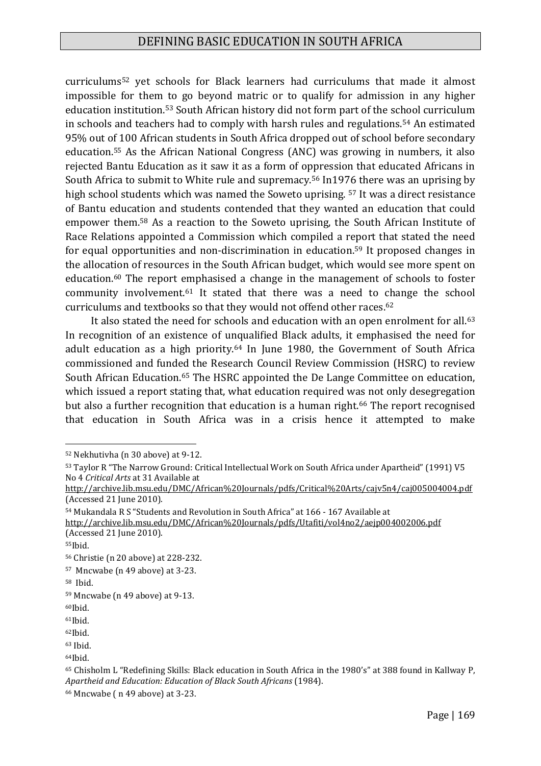curriculums<sup>52</sup> yet schools for Black learners had curriculums that made it almost impossible for them to go beyond matric or to qualify for admission in any higher education institution.<sup>53</sup> South African history did not form part of the school curriculum in schools and teachers had to comply with harsh rules and regulations.<sup>54</sup> An estimated 95% out of 100 African students in South Africa dropped out of school before secondary education.<sup>55</sup> As the African National Congress (ANC) was growing in numbers, it also rejected Bantu Education as it saw it as a form of oppression that educated Africans in South Africa to submit to White rule and supremacy.<sup>56</sup> In1976 there was an uprising by high school students which was named the Soweto uprising. <sup>57</sup> It was a direct resistance of Bantu education and students contended that they wanted an education that could empower them.<sup>58</sup> As a reaction to the Soweto uprising, the South African Institute of Race Relations appointed a Commission which compiled a report that stated the need for equal opportunities and non-discrimination in education.<sup>59</sup> It proposed changes in the allocation of resources in the South African budget, which would see more spent on education.<sup>60</sup> The report emphasised a change in the management of schools to foster community involvement.<sup>61</sup> It stated that there was a need to change the school curriculums and textbooks so that they would not offend other races.<sup>62</sup>

It also stated the need for schools and education with an open enrolment for all.<sup>63</sup> In recognition of an existence of unqualified Black adults, it emphasised the need for adult education as a high priority.<sup>64</sup> In June 1980, the Government of South Africa commissioned and funded the Research Council Review Commission (HSRC) to review South African Education.<sup>65</sup> The HSRC appointed the De Lange Committee on education, which issued a report stating that, what education required was not only desegregation but also a further recognition that education is a human right.<sup>66</sup> The report recognised that education in South Africa was in a crisis hence it attempted to make

<sup>54</sup> Mukandala R S "Students and Revolution in South Africa" at 166 - 167 Available at

<sup>52</sup> Nekhutivha (n 30 above) at 9-12.

<sup>53</sup> Taylor R "The Narrow Ground: Critical Intellectual Work on South Africa under Apartheid" (1991) V5 No 4 *Critical Arts* at 31 Available at

<http://archive.lib.msu.edu/DMC/African%20Journals/pdfs/Critical%20Arts/cajv5n4/caj005004004.pdf> (Accessed 21 June 2010).

<http://archive.lib.msu.edu/DMC/African%20Journals/pdfs/Utafiti/vol4no2/aejp004002006.pdf> (Accessed 21 June 2010).

<sup>55</sup>Ibid.

<sup>56</sup> Christie (n 20 above) at 228-232.

<sup>57</sup> Mncwabe (n 49 above) at 3-23.

<sup>58</sup> Ibid.

<sup>59</sup> Mncwabe (n 49 above) at 9-13.

<sup>60</sup>Ibid.

<sup>61</sup>Ibid.

<sup>62</sup>Ibid.

<sup>63</sup> Ibid.

<sup>64</sup>Ibid.

<sup>65</sup> Chisholm L "Redefining Skills: Black education in South Africa in the 1980's" at 388 found in Kallway P, *Apartheid and Education: Education of Black South Africans* (1984).

<sup>66</sup> Mncwabe ( n 49 above) at 3-23.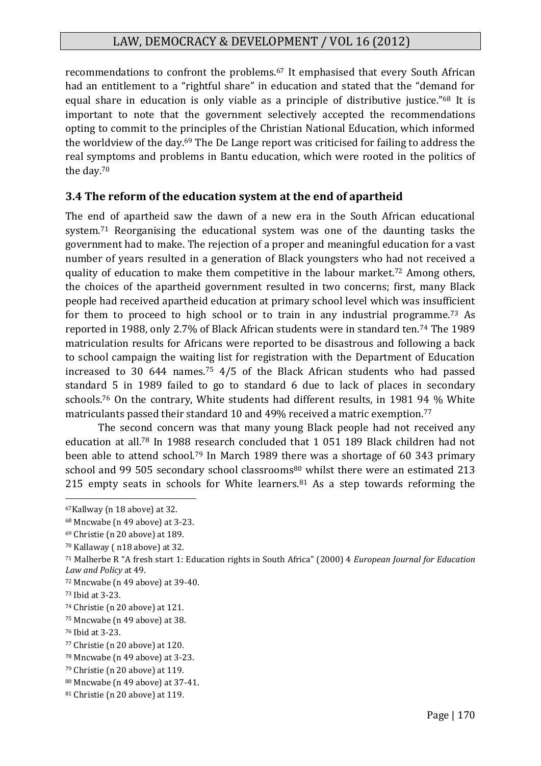recommendations to confront the problems.<sup>67</sup> It emphasised that every South African had an entitlement to a "rightful share" in education and stated that the "demand for equal share in education is only viable as a principle of distributive justice."<sup>68</sup> It is important to note that the government selectively accepted the recommendations opting to commit to the principles of the Christian National Education, which informed the worldview of the day.<sup>69</sup> The De Lange report was criticised for failing to address the real symptoms and problems in Bantu education, which were rooted in the politics of the day.<sup>70</sup>

#### **3.4 The reform of the education system at the end of apartheid**

The end of apartheid saw the dawn of a new era in the South African educational system.<sup>71</sup> Reorganising the educational system was one of the daunting tasks the government had to make. The rejection of a proper and meaningful education for a vast number of years resulted in a generation of Black youngsters who had not received a quality of education to make them competitive in the labour market.<sup>72</sup> Among others, the choices of the apartheid government resulted in two concerns; first, many Black people had received apartheid education at primary school level which was insufficient for them to proceed to high school or to train in any industrial programme.<sup>73</sup> As reported in 1988, only 2.7% of Black African students were in standard ten.<sup>74</sup> The 1989 matriculation results for Africans were reported to be disastrous and following a back to school campaign the waiting list for registration with the Department of Education increased to 30 644 names.<sup>75</sup> 4/5 of the Black African students who had passed standard 5 in 1989 failed to go to standard 6 due to lack of places in secondary schools.<sup>76</sup> On the contrary, White students had different results, in 1981 94 % White matriculants passed their standard 10 and 49% received a matric exemption.<sup>77</sup>

The second concern was that many young Black people had not received any education at all.<sup>78</sup> In 1988 research concluded that 1 051 189 Black children had not been able to attend school.<sup>79</sup> In March 1989 there was a shortage of 60 343 primary school and 99 505 secondary school classrooms<sup>80</sup> whilst there were an estimated 213 215 empty seats in schools for White learners. $81$  As a step towards reforming the

<sup>67</sup>Kallway (n 18 above) at 32.

<sup>68</sup> Mncwabe (n 49 above) at 3-23.

<sup>69</sup> Christie (n 20 above) at 189.

<sup>70</sup> Kallaway ( n18 above) at 32.

<sup>71</sup> Malherbe R "A fresh start 1: Education rights in South Africa" (2000) 4 *European Journal for Education Law and Policy* at 49.

<sup>72</sup> Mncwabe (n 49 above) at 39-40.

<sup>73</sup> Ibid at 3-23.

<sup>74</sup> Christie (n 20 above) at 121.

<sup>75</sup> Mncwabe (n 49 above) at 38.

<sup>76</sup> Ibid at 3-23.

<sup>77</sup> Christie (n 20 above) at 120.

<sup>78</sup> Mncwabe (n 49 above) at 3-23.

<sup>79</sup> Christie (n 20 above) at 119.

<sup>80</sup> Mncwabe (n 49 above) at 37-41.

<sup>81</sup> Christie (n 20 above) at 119.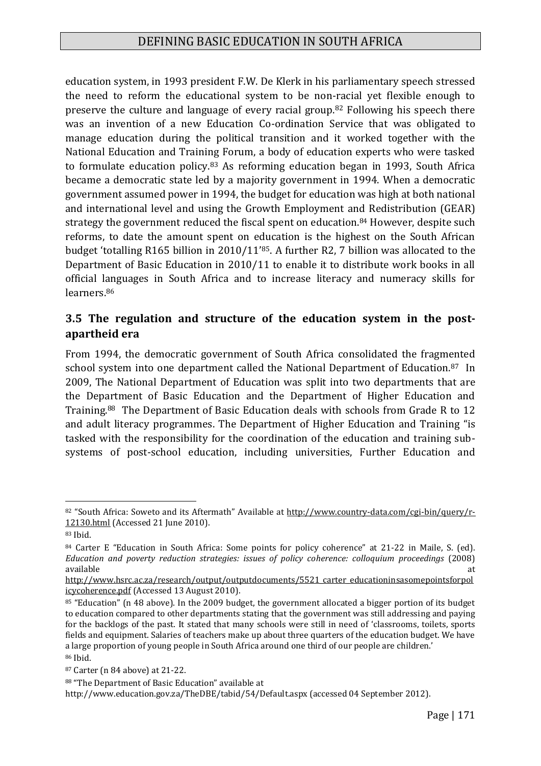education system, in 1993 president F.W. De Klerk in his parliamentary speech stressed the need to reform the educational system to be non-racial yet flexible enough to preserve the culture and language of every racial group.<sup>82</sup> Following his speech there was an invention of a new Education Co-ordination Service that was obligated to manage education during the political transition and it worked together with the National Education and Training Forum, a body of education experts who were tasked to formulate education policy.<sup>83</sup> As reforming education began in 1993, South Africa became a democratic state led by a majority government in 1994. When a democratic government assumed power in 1994, the budget for education was high at both national and international level and using the Growth Employment and Redistribution (GEAR) strategy the government reduced the fiscal spent on education.<sup>84</sup> However, despite such reforms, to date the amount spent on education is the highest on the South African budget 'totalling R165 billion in 2010/11'85. A further R2, 7 billion was allocated to the Department of Basic Education in 2010/11 to enable it to distribute work books in all official languages in South Africa and to increase literacy and numeracy skills for learners.<sup>86</sup>

# **3.5 The regulation and structure of the education system in the postapartheid era**

From 1994, the democratic government of South Africa consolidated the fragmented school system into one department called the National Department of Education.<sup>87</sup> In 2009, The National Department of Education was split into two departments that are the Department of Basic Education and the Department of Higher Education and Training.88 The Department of Basic Education deals with schools from Grade R to 12 and adult literacy programmes. The Department of Higher Education and Training "is tasked with the responsibility for the coordination of the education and training subsystems of post-school education, including universities, Further Education and

<sup>82 &</sup>quot;South Africa: Soweto and its Aftermath" Available at [http://www.country-data.com/cgi-bin/query/r-](http://www.country-data.com/cgi-bin/query/r-12130.html)[12130.html](http://www.country-data.com/cgi-bin/query/r-12130.html) (Accessed 21 June 2010).

<sup>83</sup> Ibid.

<sup>84</sup> Carter E "Education in South Africa: Some points for policy coherence" at 21-22 in Maile, S. (ed). *Education and poverty reduction strategies: issues of policy coherence: colloquium proceedings* (2008) available  $\qquad$ 

[http://www.hsrc.ac.za/research/output/outputdocuments/5521\\_carter\\_educationinsasomepointsforpol](http://www.hsrc.ac.za/research/output/outputDocuments/5521_Carter_EducationinSAsomepointsforpolicycoherence.pdf) [icycoherence.pdf](http://www.hsrc.ac.za/research/output/outputDocuments/5521_Carter_EducationinSAsomepointsforpolicycoherence.pdf) (Accessed 13 August 2010).

<sup>85 &</sup>quot;Education" (n 48 above). In the 2009 budget, the government allocated a bigger portion of its budget to education compared to other departments stating that the government was still addressing and paying for the backlogs of the past. It stated that many schools were still in need of 'classrooms, toilets, sports fields and equipment. Salaries of teachers make up about three quarters of the education budget. We have a large proportion of young people in South Africa around one third of our people are children.' <sup>86</sup> Ibid.

<sup>87</sup> Carter (n 84 above) at 21-22.

<sup>88</sup> "The Department of Basic Education" available at

http://www.education.gov.za/TheDBE/tabid/54/Default.aspx (accessed 04 September 2012).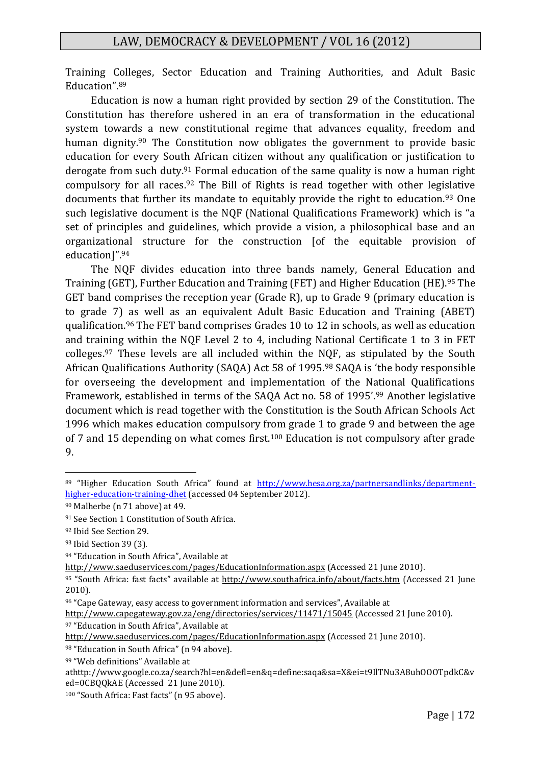Training Colleges, Sector Education and Training Authorities, and Adult Basic Education".<sup>89</sup>

Education is now a human right provided by section 29 of the Constitution. The Constitution has therefore ushered in an era of transformation in the educational system towards a new constitutional regime that advances equality, freedom and human dignity.<sup>90</sup> The Constitution now obligates the government to provide basic education for every South African citizen without any qualification or justification to derogate from such duty.<sup>91</sup> Formal education of the same quality is now a human right compulsory for all races.<sup>92</sup> The Bill of Rights is read together with other legislative documents that further its mandate to equitably provide the right to education.<sup>93</sup> One such legislative document is the NQF (National Qualifications Framework) which is "a set of principles and guidelines, which provide a vision, a philosophical base and an organizational structure for the construction [of the equitable provision of education]".<sup>94</sup>

The NQF divides education into three bands namely, General Education and Training (GET), Further Education and Training (FET) and Higher Education (HE).<sup>95</sup> The GET band comprises the reception year (Grade R), up to Grade 9 (primary education is to grade 7) as well as an equivalent Adult Basic Education and Training (ABET) qualification.<sup>96</sup> The FET band comprises Grades 10 to 12 in schools, as well as education and training within the NQF Level 2 to 4, including National Certificate 1 to 3 in FET colleges.<sup>97</sup> These levels are all included within the NQF, as stipulated by the South African Qualifications Authority (SAQA) Act 58 of 1995.<sup>98</sup> SAQA is 'the body responsible for overseeing the development and implementation of the National Qualifications Framework, established in terms of the SAQA Act no. 58 of 1995'.<sup>99</sup> Another legislative document which is read together with the Constitution is the South African Schools Act 1996 which makes education compulsory from grade 1 to grade 9 and between the age of 7 and 15 depending on what comes first.<sup>100</sup> Education is not compulsory after grade 9.

<sup>89</sup> "Higher Education South Africa" found at [http://www.hesa.org.za/partnersandlinks/department](http://www.hesa.org.za/partnersandlinks/department-higher-education-training-dhet)[higher-education-training-dhet](http://www.hesa.org.za/partnersandlinks/department-higher-education-training-dhet) (accessed 04 September 2012).

<sup>90</sup> Malherbe (n 71 above) at 49.

<sup>91</sup> See Section 1 Constitution of South Africa.

<sup>92</sup> Ibid See Section 29.

<sup>93</sup> Ibid Section 39 (3).

<sup>94</sup> "Education in South Africa", Available at

<http://www.saeduservices.com/pages/EducationInformation.aspx> (Accessed 21 June 2010).

<sup>95</sup> "South Africa: fast facts" available at <http://www.southafrica.info/about/facts.htm> (Accessed 21 June 2010).

<sup>96</sup> "Cape Gateway, easy access to government information and services", Available at

<http://www.capegateway.gov.za/eng/directories/services/11471/15045> (Accessed 21 June 2010).

<sup>97 &</sup>quot;Education in South Africa", Available at

<http://www.saeduservices.com/pages/EducationInformation.aspx> (Accessed 21 June 2010).

<sup>98 &</sup>quot;Education in South Africa" (n 94 above).

<sup>99</sup> "Web definitions" Available at

athttp://www.google.co.za/search?hl=en&defl=en&q=define:saqa&sa=X&ei=t9IlTNu3A8uhOOOTpdkC&v ed=0CBQQkAE (Accessed 21 June 2010).

<sup>100</sup> "South Africa: Fast facts" (n 95 above).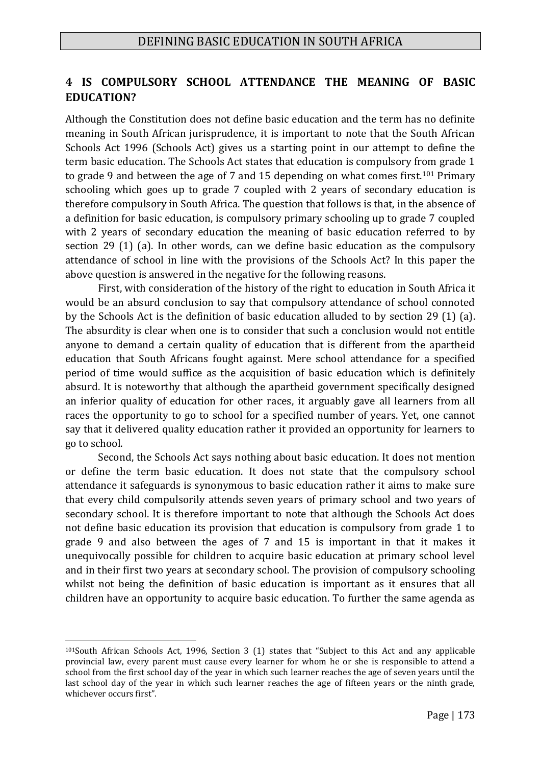## **4 IS COMPULSORY SCHOOL ATTENDANCE THE MEANING OF BASIC EDUCATION?**

Although the Constitution does not define basic education and the term has no definite meaning in South African jurisprudence, it is important to note that the South African Schools Act 1996 (Schools Act) gives us a starting point in our attempt to define the term basic education. The Schools Act states that education is compulsory from grade 1 to grade 9 and between the age of 7 and 15 depending on what comes first.<sup>101</sup> Primary schooling which goes up to grade 7 coupled with 2 years of secondary education is therefore compulsory in South Africa. The question that follows is that, in the absence of a definition for basic education, is compulsory primary schooling up to grade 7 coupled with 2 years of secondary education the meaning of basic education referred to by section 29 (1) (a). In other words, can we define basic education as the compulsory attendance of school in line with the provisions of the Schools Act? In this paper the above question is answered in the negative for the following reasons.

First, with consideration of the history of the right to education in South Africa it would be an absurd conclusion to say that compulsory attendance of school connoted by the Schools Act is the definition of basic education alluded to by section 29 (1) (a). The absurdity is clear when one is to consider that such a conclusion would not entitle anyone to demand a certain quality of education that is different from the apartheid education that South Africans fought against. Mere school attendance for a specified period of time would suffice as the acquisition of basic education which is definitely absurd. It is noteworthy that although the apartheid government specifically designed an inferior quality of education for other races, it arguably gave all learners from all races the opportunity to go to school for a specified number of years. Yet, one cannot say that it delivered quality education rather it provided an opportunity for learners to go to school.

Second, the Schools Act says nothing about basic education. It does not mention or define the term basic education. It does not state that the compulsory school attendance it safeguards is synonymous to basic education rather it aims to make sure that every child compulsorily attends seven years of primary school and two years of secondary school. It is therefore important to note that although the Schools Act does not define basic education its provision that education is compulsory from grade 1 to grade 9 and also between the ages of 7 and 15 is important in that it makes it unequivocally possible for children to acquire basic education at primary school level and in their first two years at secondary school. The provision of compulsory schooling whilst not being the definition of basic education is important as it ensures that all children have an opportunity to acquire basic education. To further the same agenda as

<sup>101</sup>South African Schools Act, 1996, Section 3 (1) states that "Subject to this Act and any applicable provincial law, every parent must cause every learner for whom he or she is responsible to attend a school from the first school day of the year in which such learner reaches the age of seven years until the last school day of the year in which such learner reaches the age of fifteen years or the ninth grade, whichever occurs first".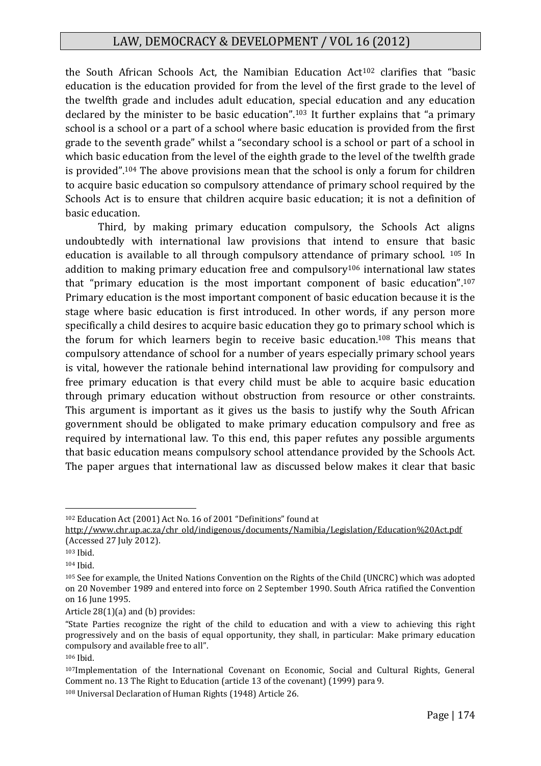the South African Schools Act, the Namibian Education Act<sup>102</sup> clarifies that "basic education is the education provided for from the level of the first grade to the level of the twelfth grade and includes adult education, special education and any education declared by the minister to be basic education".<sup>103</sup> It further explains that "a primary school is a school or a part of a school where basic education is provided from the first grade to the seventh grade" whilst a "secondary school is a school or part of a school in which basic education from the level of the eighth grade to the level of the twelfth grade is provided".<sup>104</sup> The above provisions mean that the school is only a forum for children to acquire basic education so compulsory attendance of primary school required by the Schools Act is to ensure that children acquire basic education; it is not a definition of basic education.

Third, by making primary education compulsory, the Schools Act aligns undoubtedly with international law provisions that intend to ensure that basic education is available to all through compulsory attendance of primary school. <sup>105</sup> In addition to making primary education free and compulsory<sup>106</sup> international law states that "primary education is the most important component of basic education".<sup>107</sup> Primary education is the most important component of basic education because it is the stage where basic education is first introduced. In other words, if any person more specifically a child desires to acquire basic education they go to primary school which is the forum for which learners begin to receive basic education.<sup>108</sup> This means that compulsory attendance of school for a number of years especially primary school years is vital, however the rationale behind international law providing for compulsory and free primary education is that every child must be able to acquire basic education through primary education without obstruction from resource or other constraints. This argument is important as it gives us the basis to justify why the South African government should be obligated to make primary education compulsory and free as required by international law. To this end, this paper refutes any possible arguments that basic education means compulsory school attendance provided by the Schools Act. The paper argues that international law as discussed below makes it clear that basic

<sup>102</sup> Education Act (2001) Act No. 16 of 2001 "Definitions" found at

http://www.chr.up.ac.za/chr\_old/indigenous/documents/Namibia/Legislation/Education%20Act.pdf (Accessed 27 July 2012).

<sup>103</sup> Ibid.

<sup>104</sup> Ibid.

<sup>105</sup> See for example, the United Nations Convention on the Rights of the Child (UNCRC) which was adopted on 20 November 1989 and entered into force on 2 September 1990. South Africa ratified the Convention on 16 June 1995.

Article 28(1)(a) and (b) provides:

<sup>&</sup>quot;State Parties recognize the right of the child to education and with a view to achieving this right progressively and on the basis of equal opportunity, they shall, in particular: Make primary education compulsory and available free to all".

<sup>106</sup> Ibid.

<sup>107</sup>Implementation of the International Covenant on Economic, Social and Cultural Rights, General Comment no. 13 The Right to Education (article 13 of the covenant) (1999) para 9.

<sup>108</sup> Universal Declaration of Human Rights (1948) Article 26.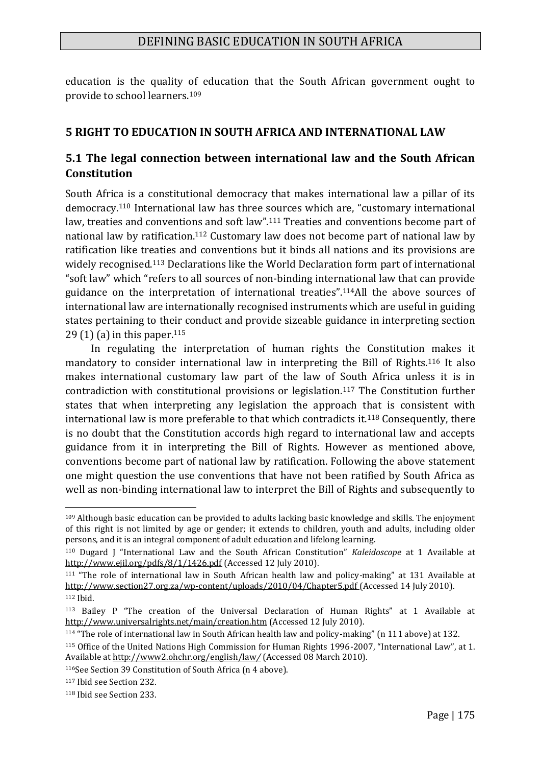education is the quality of education that the South African government ought to provide to school learners.<sup>109</sup>

# **5 RIGHT TO EDUCATION IN SOUTH AFRICA AND INTERNATIONAL LAW**

# **5.1 The legal connection between international law and the South African Constitution**

South Africa is a constitutional democracy that makes international law a pillar of its democracy.<sup>110</sup> International law has three sources which are, "customary international law, treaties and conventions and soft law".<sup>111</sup> Treaties and conventions become part of national law by ratification.<sup>112</sup> Customary law does not become part of national law by ratification like treaties and conventions but it binds all nations and its provisions are widely recognised.<sup>113</sup> Declarations like the World Declaration form part of international "soft law" which "refers to all sources of non-binding international law that can provide guidance on the interpretation of international treaties".114All the above sources of international law are internationally recognised instruments which are useful in guiding states pertaining to their conduct and provide sizeable guidance in interpreting section 29 (1) (a) in this paper.<sup>115</sup>

In regulating the interpretation of human rights the Constitution makes it mandatory to consider international law in interpreting the Bill of Rights.<sup>116</sup> It also makes international customary law part of the law of South Africa unless it is in contradiction with constitutional provisions or legislation.<sup>117</sup> The Constitution further states that when interpreting any legislation the approach that is consistent with international law is more preferable to that which contradicts it.<sup>118</sup> Consequently, there is no doubt that the Constitution accords high regard to international law and accepts guidance from it in interpreting the Bill of Rights. However as mentioned above, conventions become part of national law by ratification. Following the above statement one might question the use conventions that have not been ratified by South Africa as well as non-binding international law to interpret the Bill of Rights and subsequently to

<sup>1</sup>  $109$  Although basic education can be provided to adults lacking basic knowledge and skills. The enjoyment of this right is not limited by age or gender; it extends to children, youth and adults, including older persons, and it is an integral component of adult education and lifelong learning.

<sup>110</sup> Dugard J "International Law and the South African Constitution" *Kaleidoscope* at 1 Available at <http://www.ejil.org/pdfs/8/1/1426.pdf> (Accessed 12 July 2010).

<sup>111</sup> "The role of international law in South African health law and policy-making" at 131 Available at [http://www.section27.org.za/wp-content/uploads/2010/04/Chapter5.pdf](http://www.section27.org.za/wp-content/uploads/2010/04/Chapter5.pdf%20at%20131) (Accessed 14 July 2010). <sup>112</sup> Ibid.

<sup>113</sup> Bailey P "The creation of the Universal Declaration of Human Rights" at 1 Available at <http://www.universalrights.net/main/creation.htm> (Accessed 12 July 2010).

<sup>114</sup> "The role of international law in South African health law and policy-making" (n 111 above) at 132.

<sup>115</sup> Office of the United Nations High Commission for Human Rights 1996-2007, "International Law", at 1. Available a[t http://www2.ohchr.org/english/law](http://www2.ohchr.org/english/law/)*/* (Accessed 08 March 2010).

<sup>116</sup>See Section 39 Constitution of South Africa (n 4 above).

<sup>117</sup> Ibid see Section 232.

<sup>118</sup> Ibid see Section 233.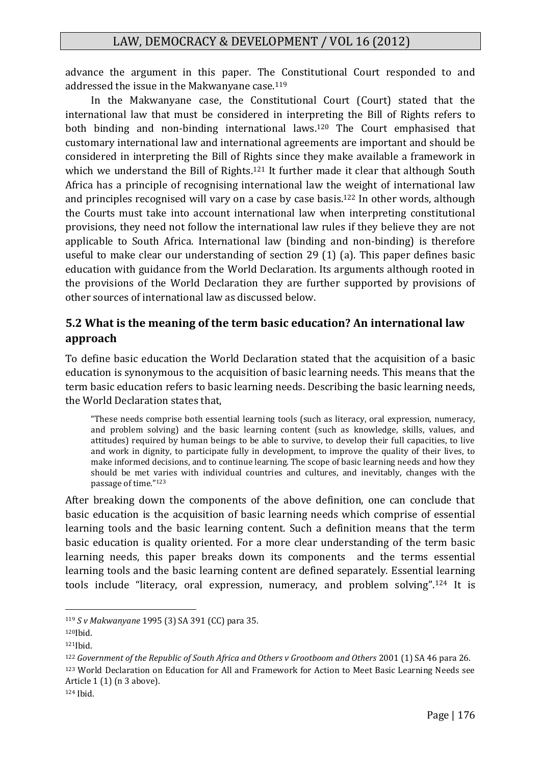advance the argument in this paper. The Constitutional Court responded to and addressed the issue in the Makwanyane case.<sup>119</sup>

In the Makwanyane case, the Constitutional Court (Court) stated that the international law that must be considered in interpreting the Bill of Rights refers to both binding and non-binding international laws.<sup>120</sup> The Court emphasised that customary international law and international agreements are important and should be considered in interpreting the Bill of Rights since they make available a framework in which we understand the Bill of Rights.<sup>121</sup> It further made it clear that although South Africa has a principle of recognising international law the weight of international law and principles recognised will vary on a case by case basis.<sup>122</sup> In other words, although the Courts must take into account international law when interpreting constitutional provisions, they need not follow the international law rules if they believe they are not applicable to South Africa. International law (binding and non-binding) is therefore useful to make clear our understanding of section 29 (1) (a). This paper defines basic education with guidance from the World Declaration. Its arguments although rooted in the provisions of the World Declaration they are further supported by provisions of other sources of international law as discussed below.

# **5.2 What is the meaning of the term basic education? An international law approach**

To define basic education the World Declaration stated that the acquisition of a basic education is synonymous to the acquisition of basic learning needs. This means that the term basic education refers to basic learning needs. Describing the basic learning needs, the World Declaration states that,

"These needs comprise both essential learning tools (such as literacy, oral expression, numeracy, and problem solving) and the basic learning content (such as knowledge, skills, values, and attitudes) required by human beings to be able to survive, to develop their full capacities, to live and work in dignity, to participate fully in development, to improve the quality of their lives, to make informed decisions, and to continue learning. The scope of basic learning needs and how they should be met varies with individual countries and cultures, and inevitably, changes with the passage of time."<sup>123</sup>

After breaking down the components of the above definition, one can conclude that basic education is the acquisition of basic learning needs which comprise of essential learning tools and the basic learning content. Such a definition means that the term basic education is quality oriented. For a more clear understanding of the term basic learning needs, this paper breaks down its components and the terms essential learning tools and the basic learning content are defined separately. Essential learning tools include "literacy, oral expression, numeracy, and problem solving".<sup>124</sup> It is

1

<sup>123</sup> World Declaration on Education for All and Framework for Action to Meet Basic Learning Needs see Article 1 (1) (n 3 above).

<sup>119</sup> *S v Makwanyane* 1995 (3) SA 391 (CC) para 35.

<sup>120</sup>Ibid.

<sup>121</sup>Ibid.

<sup>122</sup> *Government of the Republic of South Africa and Others v Grootboom and Others* 2001 (1) SA 46 para 26.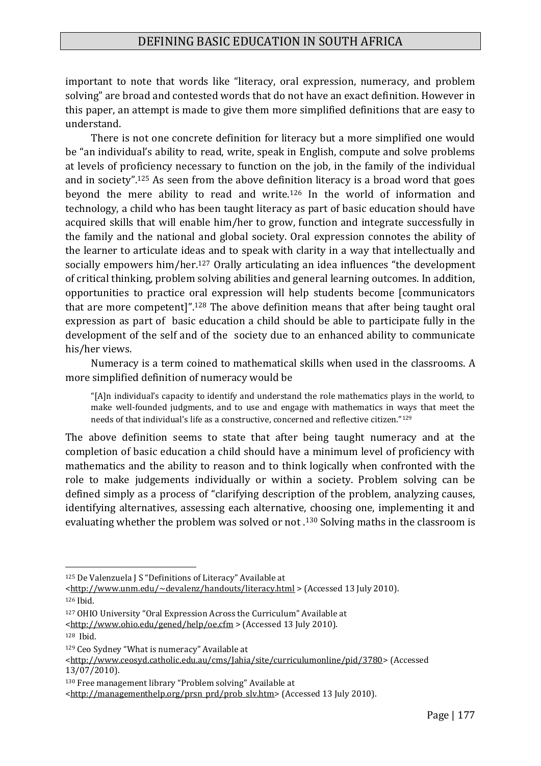important to note that words like "literacy, oral expression, numeracy, and problem solving" are broad and contested words that do not have an exact definition. However in this paper, an attempt is made to give them more simplified definitions that are easy to understand.

There is not one concrete definition for literacy but a more simplified one would be "an individual's ability to read, write, speak in English, compute and solve problems at levels of proficiency necessary to function on the job, in the family of the individual and in society".<sup>125</sup> As seen from the above definition literacy is a broad word that goes beyond the mere ability to read and write.<sup>126</sup> In the world of information and technology, a child who has been taught literacy as part of basic education should have acquired skills that will enable him/her to grow, function and integrate successfully in the family and the national and global society. Oral expression connotes the ability of the learner to articulate ideas and to speak with clarity in a way that intellectually and socially empowers him/her.<sup>127</sup> Orally articulating an idea influences "the development of critical thinking, problem solving abilities and general learning outcomes. In addition, opportunities to practice oral expression will help students become [communicators that are more competent]".<sup>128</sup> The above definition means that after being taught oral expression as part of basic education a child should be able to participate fully in the development of the self and of the society due to an enhanced ability to communicate his/her views.

Numeracy is a term coined to mathematical skills when used in the classrooms. A more simplified definition of numeracy would be

"[A]n individual's capacity to identify and understand the role mathematics plays in the world, to make well-founded judgments, and to use and engage with mathematics in ways that meet the needs of that individual's life as a constructive, concerned and reflective citizen."<sup>129</sup>

The above definition seems to state that after being taught numeracy and at the completion of basic education a child should have a minimum level of proficiency with mathematics and the ability to reason and to think logically when confronted with the role to make judgements individually or within a society. Problem solving can be defined simply as a process of "clarifying description of the problem, analyzing causes, identifying alternatives, assessing each alternative, choosing one, implementing it and evaluating whether the problem was solved or not .<sup>130</sup> Solving maths in the classroom is

<sup>125</sup> De Valenzuela J S "Definitions of Literacy" Available at

[<sup>&</sup>lt;http://www.unm.edu/~devalenz/handouts/literacy.html](http://www.unm.edu/~devalenz/handouts/literacy.html) > (Accessed 13 July 2010).

<sup>126</sup> Ibid.

<sup>127</sup> OHIO University "Oral Expression Across the Curriculum" Available at

[<sup>&</sup>lt;http://www.ohio.edu/gened/help/oe.cfm](http://www.ohio.edu/gened/help/oe.cfm) > (Accessed 13 July 2010).

<sup>128</sup> Ibid.

<sup>129</sup> Ceo Sydney "What is numeracy" Available at

[<sup>&</sup>lt;http://www.ceosyd.catholic.edu.au/cms/Jahia/site/curriculumonline/pid/3780>](http://www.ceosyd.catholic.edu.au/cms/Jahia/site/curriculumonline/pid/3780) (Accessed 13/07/2010).

<sup>130</sup> Free management library "Problem solving" Available at

[<sup>&</sup>lt;http://managementhelp.org/prsn\\_prd/prob\\_slv.htm>](http://managementhelp.org/prsn_prd/prob_slv.htm) (Accessed 13 July 2010).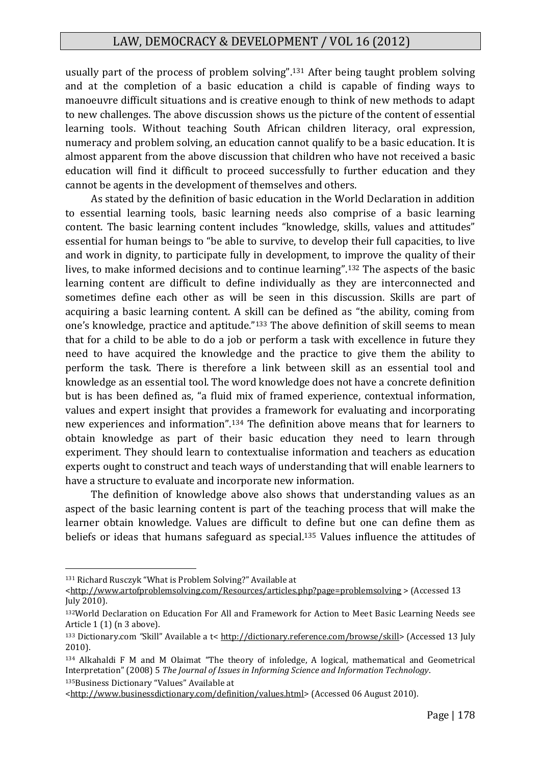usually part of the process of problem solving".<sup>131</sup> After being taught problem solving and at the completion of a basic education a child is capable of finding ways to manoeuvre difficult situations and is creative enough to think of new methods to adapt to new challenges. The above discussion shows us the picture of the content of essential learning tools. Without teaching South African children literacy, oral expression, numeracy and problem solving, an education cannot qualify to be a basic education. It is almost apparent from the above discussion that children who have not received a basic education will find it difficult to proceed successfully to further education and they cannot be agents in the development of themselves and others.

As stated by the definition of basic education in the World Declaration in addition to essential learning tools, basic learning needs also comprise of a basic learning content. The basic learning content includes "knowledge, skills, values and attitudes" essential for human beings to "be able to survive, to develop their full capacities, to live and work in dignity, to participate fully in development, to improve the quality of their lives, to make informed decisions and to continue learning".<sup>132</sup> The aspects of the basic learning content are difficult to define individually as they are interconnected and sometimes define each other as will be seen in this discussion. Skills are part of acquiring a basic learning content. A skill can be defined as "the ability, coming from one's knowledge, practice and aptitude."<sup>133</sup> The above definition of skill seems to mean that for a child to be able to do a job or perform a task with excellence in future they need to have acquired the knowledge and the practice to give them the ability to perform the task. There is therefore a link between skill as an essential tool and knowledge as an essential tool. The word knowledge does not have a concrete definition but is has been defined as, "a fluid mix of framed experience, contextual information, values and expert insight that provides a framework for evaluating and incorporating new experiences and information".<sup>134</sup> The definition above means that for learners to obtain knowledge as part of their basic education they need to learn through experiment. They should learn to contextualise information and teachers as education experts ought to construct and teach ways of understanding that will enable learners to have a structure to evaluate and incorporate new information.

The definition of knowledge above also shows that understanding values as an aspect of the basic learning content is part of the teaching process that will make the learner obtain knowledge. Values are difficult to define but one can define them as beliefs or ideas that humans safeguard as special.<sup>135</sup> Values influence the attitudes of

<sup>131</sup> Richard Rusczyk "What is Problem Solving?" Available at

[<sup>&</sup>lt;http://www.artofproblemsolving.com/Resources/articles.php?page=problemsolving](http://www.artofproblemsolving.com/Resources/articles.php?page=problemsolving) > (Accessed 13 July 2010).

<sup>132</sup>World Declaration on Education For All and Framework for Action to Meet Basic Learning Needs see Article 1 (1) (n 3 above).

<sup>133</sup> Dictionary.com *"*Skill" Available a t< [http://dictionary.reference.com/browse/skill>](http://dictionary.reference.com/browse/skill) (Accessed 13 July 2010).

<sup>134</sup> Alkahaldi F M and M Olaimat "The theory of infoledge, A logical, mathematical and Geometrical Interpretation" (2008) 5 *The Journal of Issues in Informing Science and Information Technology*.

<sup>135</sup>Business Dictionary "Values" Available at

[<sup>&</sup>lt;http://www.businessdictionary.com/definition/values.html>](http://www.businessdictionary.com/definition/values.html) (Accessed 06 August 2010).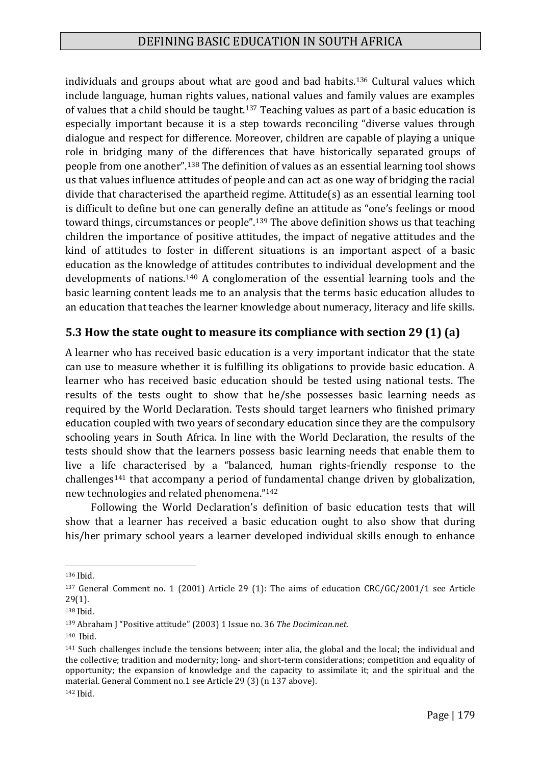individuals and groups about what are good and bad habits.<sup>136</sup> Cultural values which include language, human rights values, national values and family values are examples of values that a child should be taught.<sup>137</sup> Teaching values as part of a basic education is especially important because it is a step towards reconciling "diverse values through dialogue and respect for difference. Moreover, children are capable of playing a unique role in bridging many of the differences that have historically separated groups of people from one another".<sup>138</sup> The definition of values as an essential learning tool shows us that values influence attitudes of people and can act as one way of bridging the racial divide that characterised the apartheid regime. Attitude(s) as an essential learning tool is difficult to define but one can generally define an attitude as "one's feelings or mood toward things, circumstances or people".<sup>139</sup> The above definition shows us that teaching children the importance of positive attitudes, the impact of negative attitudes and the kind of attitudes to foster in different situations is an important aspect of a basic education as the knowledge of attitudes contributes to individual development and the developments of nations.<sup>140</sup> A conglomeration of the essential learning tools and the basic learning content leads me to an analysis that the terms basic education alludes to an education that teaches the learner knowledge about numeracy, literacy and life skills.

## **5.3 How the state ought to measure its compliance with section 29 (1) (a)**

A learner who has received basic education is a very important indicator that the state can use to measure whether it is fulfilling its obligations to provide basic education. A learner who has received basic education should be tested using national tests. The results of the tests ought to show that he/she possesses basic learning needs as required by the World Declaration. Tests should target learners who finished primary education coupled with two years of secondary education since they are the compulsory schooling years in South Africa. In line with the World Declaration, the results of the tests should show that the learners possess basic learning needs that enable them to live a life characterised by a "balanced, human rights-friendly response to the challenges<sup>141</sup> that accompany a period of fundamental change driven by globalization, new technologies and related phenomena."<sup>142</sup>

Following the World Declaration's definition of basic education tests that will show that a learner has received a basic education ought to also show that during his/her primary school years a learner developed individual skills enough to enhance

<sup>136</sup> Ibid.

<sup>137</sup> General Comment no. 1 (2001) Article 29 (1): The aims of education CRC/GC/2001/1 see Article 29(1).

<sup>138</sup> Ibid.

<sup>139</sup> Abraham J "Positive attitude" (2003) 1 Issue no. 36 *The Docimican.net.*

<sup>140</sup> Ibid.

<sup>141</sup> Such challenges include the tensions between; inter alia, the global and the local; the individual and the collective; tradition and modernity; long- and short-term considerations; competition and equality of opportunity; the expansion of knowledge and the capacity to assimilate it; and the spiritual and the material. General Comment no.1 see Article 29 (3) (n 137 above).

<sup>142</sup> Ibid.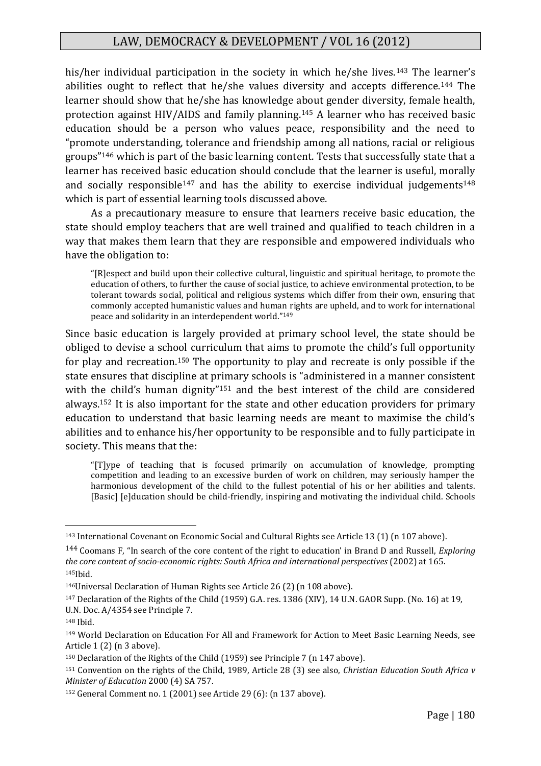his/her individual participation in the society in which he/she lives.<sup>143</sup> The learner's abilities ought to reflect that he/she values diversity and accepts difference.<sup>144</sup> The learner should show that he/she has knowledge about gender diversity, female health, protection against HIV/AIDS and family planning.<sup>145</sup> A learner who has received basic education should be a person who values peace, responsibility and the need to "promote understanding, tolerance and friendship among all nations, racial or religious groups"<sup>146</sup> which is part of the basic learning content. Tests that successfully state that a learner has received basic education should conclude that the learner is useful, morally and socially responsible<sup>147</sup> and has the ability to exercise individual judgements<sup>148</sup> which is part of essential learning tools discussed above.

As a precautionary measure to ensure that learners receive basic education, the state should employ teachers that are well trained and qualified to teach children in a way that makes them learn that they are responsible and empowered individuals who have the obligation to:

"[R]espect and build upon their collective cultural, linguistic and spiritual heritage, to promote the education of others, to further the cause of social justice, to achieve environmental protection, to be tolerant towards social, political and religious systems which differ from their own, ensuring that commonly accepted humanistic values and human rights are upheld, and to work for international peace and solidarity in an interdependent world."<sup>149</sup>

Since basic education is largely provided at primary school level, the state should be obliged to devise a school curriculum that aims to promote the child's full opportunity for play and recreation.<sup>150</sup> The opportunity to play and recreate is only possible if the state ensures that discipline at primary schools is "administered in a manner consistent with the child's human dignity"<sup>151</sup> and the best interest of the child are considered always.<sup>152</sup> It is also important for the state and other education providers for primary education to understand that basic learning needs are meant to maximise the child's abilities and to enhance his/her opportunity to be responsible and to fully participate in society. This means that the:

"[T]ype of teaching that is focused primarily on accumulation of knowledge, prompting competition and leading to an excessive burden of work on children, may seriously hamper the harmonious development of the child to the fullest potential of his or her abilities and talents. [Basic] [e]ducation should be child-friendly, inspiring and motivating the individual child. Schools

<sup>143</sup> International Covenant on Economic Social and Cultural Rights see Article 13 (1) (n 107 above).

<sup>144</sup> Coomans F, "In search of the core content of the right to education' in Brand D and Russell, *Exploring the core content of socio-economic rights: South Africa and international perspectives* (2002) at 165. <sup>145</sup>Ibid.

<sup>146</sup>Universal Declaration of Human Rights see Article 26 (2) (n 108 above).

<sup>147</sup> Declaration of the Rights of the Child (1959) G.A. res. 1386 (XIV), 14 U.N. GAOR Supp. (No. 16) at 19, U.N. Doc. A/4354 see Principle 7.

<sup>148</sup> Ibid.

<sup>149</sup> World Declaration on Education For All and Framework for Action to Meet Basic Learning Needs, see Article 1 (2) (n 3 above).

<sup>150</sup> Declaration of the Rights of the Child (1959) see Principle 7 (n 147 above).

<sup>151</sup> Convention on the rights of the Child, 1989, Article 28 (3) see also, *Christian Education South Africa v Minister of Education* 2000 (4) SA 757.

<sup>152</sup> General Comment no. 1 (2001) see Article 29 (6): (n 137 above).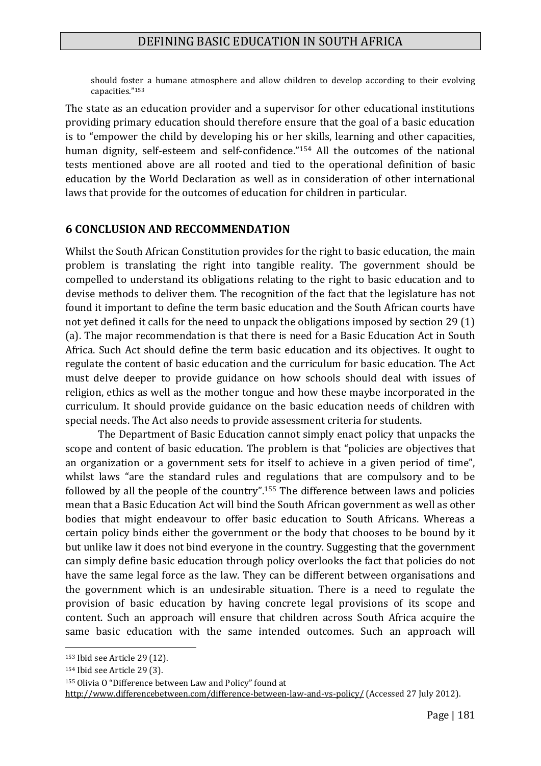should foster a humane atmosphere and allow children to develop according to their evolving capacities."<sup>153</sup>

The state as an education provider and a supervisor for other educational institutions providing primary education should therefore ensure that the goal of a basic education is to "empower the child by developing his or her skills, learning and other capacities, human dignity, self-esteem and self-confidence."<sup>154</sup> All the outcomes of the national tests mentioned above are all rooted and tied to the operational definition of basic education by the World Declaration as well as in consideration of other international laws that provide for the outcomes of education for children in particular.

#### **6 CONCLUSION AND RECCOMMENDATION**

Whilst the South African Constitution provides for the right to basic education, the main problem is translating the right into tangible reality. The government should be compelled to understand its obligations relating to the right to basic education and to devise methods to deliver them. The recognition of the fact that the legislature has not found it important to define the term basic education and the South African courts have not yet defined it calls for the need to unpack the obligations imposed by section 29 (1) (a). The major recommendation is that there is need for a Basic Education Act in South Africa. Such Act should define the term basic education and its objectives. It ought to regulate the content of basic education and the curriculum for basic education. The Act must delve deeper to provide guidance on how schools should deal with issues of religion, ethics as well as the mother tongue and how these maybe incorporated in the curriculum. It should provide guidance on the basic education needs of children with special needs. The Act also needs to provide assessment criteria for students.

The Department of Basic Education cannot simply enact policy that unpacks the scope and content of basic education. The problem is that "policies are objectives that an organization or a government sets for itself to achieve in a given period of time", whilst laws "are the standard rules and regulations that are compulsory and to be followed by all the people of the country".<sup>155</sup> The difference between laws and policies mean that a Basic Education Act will bind the South African government as well as other bodies that might endeavour to offer basic education to South Africans. Whereas a certain policy binds either the government or the body that chooses to be bound by it but unlike law it does not bind everyone in the country. Suggesting that the government can simply define basic education through policy overlooks the fact that policies do not have the same legal force as the law. They can be different between organisations and the government which is an undesirable situation. There is a need to regulate the provision of basic education by having concrete legal provisions of its scope and content. Such an approach will ensure that children across South Africa acquire the same basic education with the same intended outcomes. Such an approach will

<sup>153</sup> Ibid see Article 29 (12).

<sup>154</sup> Ibid see Article 29 (3).

<sup>155</sup> Olivia O "Difference between Law and Policy" found at

<http://www.differencebetween.com/difference-between-law-and-vs-policy/> (Accessed 27 July 2012).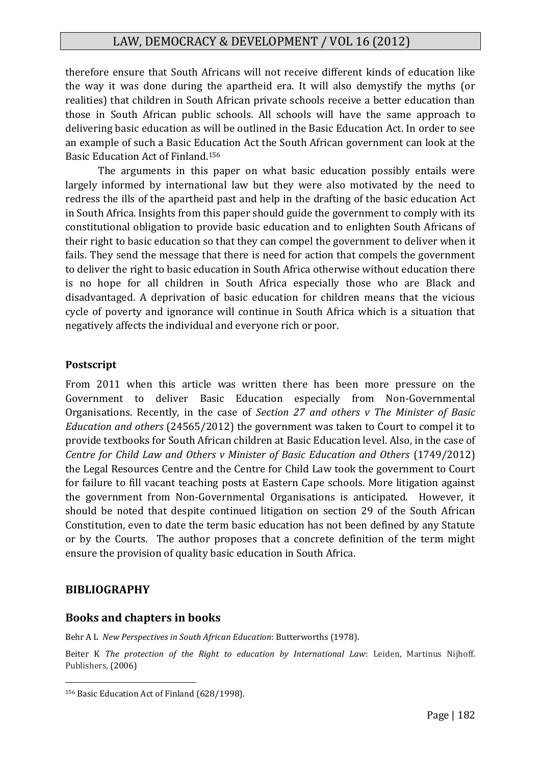therefore ensure that South Africans will not receive different kinds of education like the way it was done during the apartheid era. It will also demystify the myths (or realities) that children in South African private schools receive a better education than those in South African public schools. All schools will have the same approach to delivering basic education as will be outlined in the Basic Education Act. In order to see an example of such a Basic Education Act the South African government can look at the Basic Education Act of Finland. 156

The arguments in this paper on what basic education possibly entails were largely informed by international law but they were also motivated by the need to redress the ills of the apartheid past and help in the drafting of the basic education Act in South Africa. Insights from this paper should guide the government to comply with its constitutional obligation to provide basic education and to enlighten South Africans of their right to basic education so that they can compel the government to deliver when it fails. They send the message that there is need for action that compels the government to deliver the right to basic education in South Africa otherwise without education there is no hope for all children in South Africa especially those who are Black and disadvantaged. A deprivation of basic education for children means that the vicious cycle of poverty and ignorance will continue in South Africa which is a situation that negatively affects the individual and everyone rich or poor.

#### **Postscript**

From 2011 when this article was written there has been more pressure on the Government to deliver Basic Education especially from Non-Governmental Organisations. Recently, in the case of *Section 27 and others v The Minister of Basic Education and others* (24565/2012) the government was taken to Court to compel it to provide textbooks for South African children at Basic Education level. Also, in the case of *Centre for Child Law and Others v Minister of Basic Education and Others* (1749/2012) the Legal Resources Centre and the Centre for Child Law took the government to Court for failure to fill vacant teaching posts at Eastern Cape schools. More litigation against the government from Non-Governmental Organisations is anticipated. However, it should be noted that despite continued litigation on section 29 of the South African Constitution, even to date the term basic education has not been defined by any Statute or by the Courts. The author proposes that a concrete definition of the term might ensure the provision of quality basic education in South Africa.

#### **BIBLIOGRAPHY**

1

#### **Books and chapters in books**

Behr A L *New Perspectives in South African Education*: Butterworths (1978).

Beiter K *The protection of the Right to education by International Law*: Leiden, Martinus Nijhoff. Publishers, (2006)

<sup>156</sup> Basic Education Act of Finland (628/1998).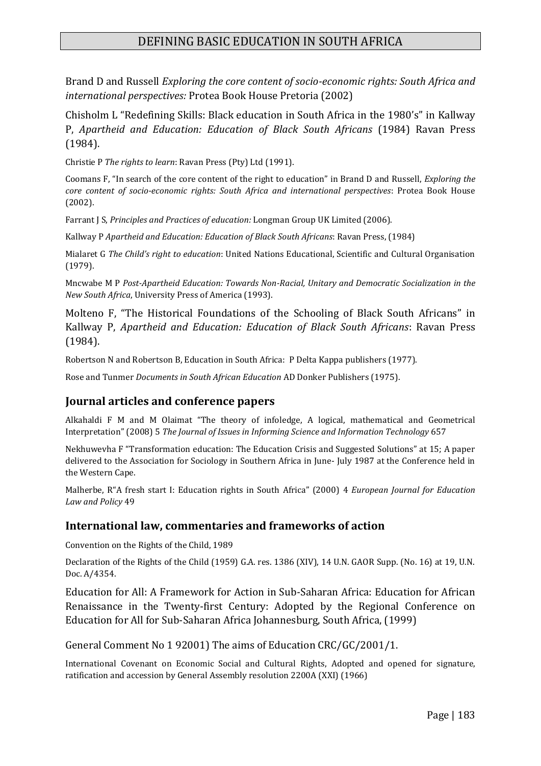## DEFINING BASIC EDUCATION IN SOUTH AFRICA

Brand D and Russell *Exploring the core content of socio-economic rights: South Africa and international perspectives:* Protea Book House Pretoria (2002)

Chisholm L "Redefining Skills: Black education in South Africa in the 1980's" in Kallway P, *Apartheid and Education: Education of Black South Africans* (1984) Ravan Press (1984).

Christie P *The rights to learn*: Ravan Press (Pty) Ltd (1991).

Coomans F, "In search of the core content of the right to education" in Brand D and Russell, *Exploring the core content of socio-economic rights: South Africa and international perspectives*: Protea Book House (2002).

Farrant J S, *Principles and Practices of education:* Longman Group UK Limited (2006).

Kallway P *Apartheid and Education: Education of Black South Africans*: Ravan Press, (1984)

Mialaret G *The Child's right to education*: United Nations Educational, Scientific and Cultural Organisation (1979).

Mncwabe M P *Post-Apartheid Education: Towards Non-Racial, Unitary and Democratic Socialization in the New South Africa*, University Press of America (1993).

Molteno F, "The Historical Foundations of the Schooling of Black South Africans" in Kallway P, *Apartheid and Education: Education of Black South Africans*: Ravan Press (1984).

Robertson N and Robertson B, Education in South Africa: P Delta Kappa publishers (1977).

Rose and Tunmer *Documents in South African Education* AD Donker Publishers (1975).

#### **Journal articles and conference papers**

Alkahaldi F M and M Olaimat "The theory of infoledge, A logical, mathematical and Geometrical Interpretation" (2008) 5 *The Journal of Issues in Informing Science and Information Technology* 657

Nekhuwevha F "Transformation education: The Education Crisis and Suggested Solutions" at 15; A paper delivered to the Association for Sociology in Southern Africa in June- July 1987 at the Conference held in the Western Cape.

Malherbe, R"A fresh start I: Education rights in South Africa" (2000) 4 *European Journal for Education Law and Policy* 49

#### **International law, commentaries and frameworks of action**

Convention on the Rights of the Child, 1989

Declaration of the Rights of the Child (1959) G.A. res. 1386 (XIV), 14 U.N. GAOR Supp. (No. 16) at 19, U.N. Doc. A/4354.

Education for All: A Framework for Action in Sub-Saharan Africa: Education for African Renaissance in the Twenty-first Century: Adopted by the Regional Conference on Education for All for Sub-Saharan Africa Johannesburg, South Africa, (1999)

General Comment No 1 92001) The aims of Education CRC/GC/2001/1.

International Covenant on Economic Social and Cultural Rights, Adopted and opened for signature, ratification and accession by General Assembly resolution 2200A (XXI) (1966)